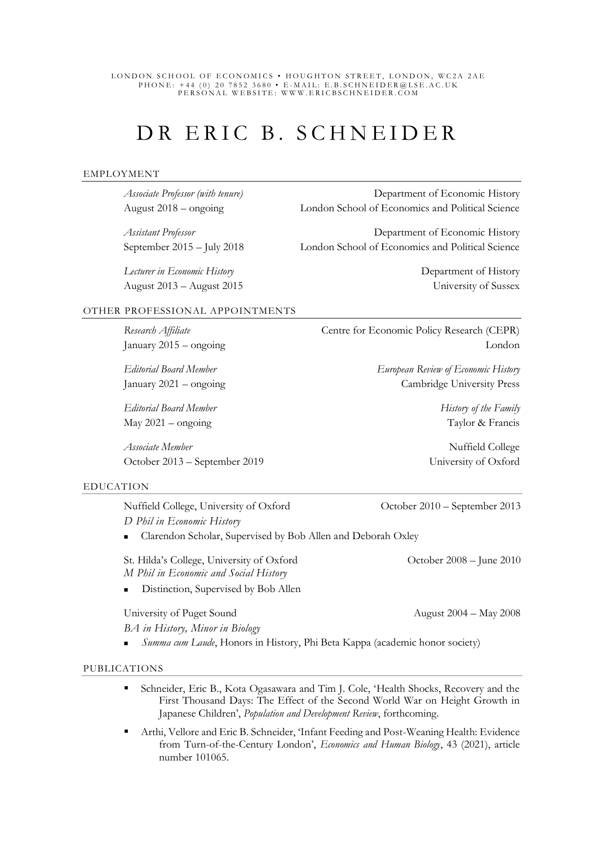#### LONDON SCHOOL OF ECONOMICS • HOUGHTON STREET, LONDON, WC2A 2AE PHONE: +44 (0) 20 7852 3680 • E-MAIL: E.B.SCHNEIDER@LSE.AC.UK PERSONAL WEBSITE: WWW.ERICBSCHNEIDER.COM

# DR ERIC B. SCHNEIDER

#### EMPLOYMENT

*Lecturer in Economic History* Department of History August 2013 – August 2015 University of Sussex

*Associate Professor (with tenure)* Department of Economic History August 2018 – ongoing London School of Economics and Political Science

*Assistant Professor* **Department of Economic History** September 2015 – July 2018 London School of Economics and Political Science

#### OTHER PROFESSIONAL APPOINTMENTS

*Editorial Board Member History of the Family* May 2021 – ongoing Taylor & Francis

*Associate Member* **Nuffield College Nuffield College** October 2013 – September 2019University of Oxford

**Research Affiliate** Centre for Economic Policy Research (CEPR) January 2015 – ongoing London

*Editorial Board Member European Review of Economic History* January 2021 – ongoing Cambridge University Press

#### EDUCATION

Nuffield College, University of Oxford October 2010 – September 2013 *D Phil in Economic History*

■ Clarendon Scholar, Supervised by Bob Allen and Deborah Oxley

St. Hilda's College, University of Oxford October 2008 – June 2010 *M Phil in Economic and Social History*

Distinction, Supervised by Bob Allen

*BA in History, Minor in Biology*

Summa cum Laude, Honors in History, Phi Beta Kappa (academic honor society)

#### PUBLICATIONS

- Schneider, Eric B., Kota Ogasawara and Tim J. Cole, 'Health Shocks, Recovery and the First Thousand Days: The Effect of the Second World War on Height Growth in Japanese Children', *Population and Development Review*, forthcoming.
- Arthi, Vellore and Eric B. Schneider, 'Infant Feeding and Post-Weaning Health: Evidence from Turn-of-the-Century London', *Economics and Human Biology*, 43 (2021), article number 101065.

University of Puget Sound August 2004 – May 2008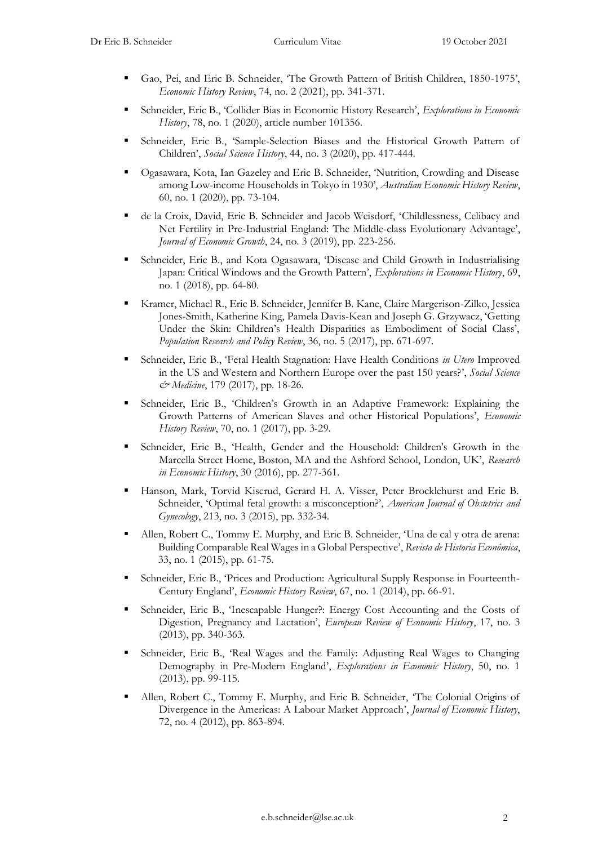- Gao, Pei, and Eric B. Schneider, 'The Growth Pattern of British Children, 1850-1975', *Economic History Review*, 74, no. 2 (2021), pp. 341-371.
- Schneider, Eric B., 'Collider Bias in Economic History Research', *Explorations in Economic History*, 78, no. 1 (2020), article number 101356.
- Schneider, Eric B., 'Sample-Selection Biases and the Historical Growth Pattern of Children', *Social Science History*, 44, no. 3 (2020), pp. 417-444.
- Ogasawara, Kota, Ian Gazeley and Eric B. Schneider, 'Nutrition, Crowding and Disease among Low-income Households in Tokyo in 1930', *Australian Economic History Review*, 60, no. 1 (2020), pp. 73-104.
- de la Croix, David, Eric B. Schneider and Jacob Weisdorf, 'Childlessness, Celibacy and Net Fertility in Pre-Industrial England: The Middle-class Evolutionary Advantage', *Journal of Economic Growth*, 24, no. 3 (2019), pp. 223-256.
- Schneider, Eric B., and Kota Ogasawara, 'Disease and Child Growth in Industrialising Japan: Critical Windows and the Growth Pattern', *Explorations in Economic History*, 69, no. 1 (2018), pp. 64-80.
- Kramer, Michael R., Eric B. Schneider, Jennifer B. Kane, Claire Margerison-Zilko, Jessica Jones-Smith, Katherine King, Pamela Davis-Kean and Joseph G. Grzywacz, 'Getting Under the Skin: Children's Health Disparities as Embodiment of Social Class', *Population Research and Policy Review*, 36, no. 5 (2017), pp. 671-697.
- Schneider, Eric B., 'Fetal Health Stagnation: Have Health Conditions *in Utero* Improved in the US and Western and Northern Europe over the past 150 years?', *Social Science & Medicine*, 179 (2017), pp. 18-26.
- Schneider, Eric B., 'Children's Growth in an Adaptive Framework: Explaining the Growth Patterns of American Slaves and other Historical Populations', *Economic History Review*, 70, no. 1 (2017), pp. 3-29.
- Schneider, Eric B., 'Health, Gender and the Household: Children's Growth in the Marcella Street Home, Boston, MA and the Ashford School, London, UK', *Research in Economic History*, 30 (2016), pp. 277-361.
- Hanson, Mark, Torvid Kiserud, Gerard H. A. Visser, Peter Brocklehurst and Eric B. Schneider, 'Optimal fetal growth: a misconception?', *American Journal of Obstetrics and Gynecology*, 213, no. 3 (2015), pp. 332-34.
- Allen, Robert C., Tommy E. Murphy, and Eric B. Schneider, 'Una de cal y otra de arena: Building Comparable Real Wages in a Global Perspective', *Revista de Historia Económica*, 33, no. 1 (2015), pp. 61-75.
- Schneider, Eric B., 'Prices and Production: Agricultural Supply Response in Fourteenth-Century England', *Economic History Review*, 67, no. 1 (2014), pp. 66-91.
- Schneider, Eric B., 'Inescapable Hunger?: Energy Cost Accounting and the Costs of Digestion, Pregnancy and Lactation', *European Review of Economic History*, 17, no. 3 (2013), pp. 340-363.
- Schneider, Eric B., 'Real Wages and the Family: Adjusting Real Wages to Changing Demography in Pre-Modern England', *Explorations in Economic History*, 50, no. 1 (2013), pp. 99-115.
- Allen, Robert C., Tommy E. Murphy, and Eric B. Schneider, 'The Colonial Origins of Divergence in the Americas: A Labour Market Approach', *Journal of Economic History*, 72, no. 4 (2012), pp. 863-894.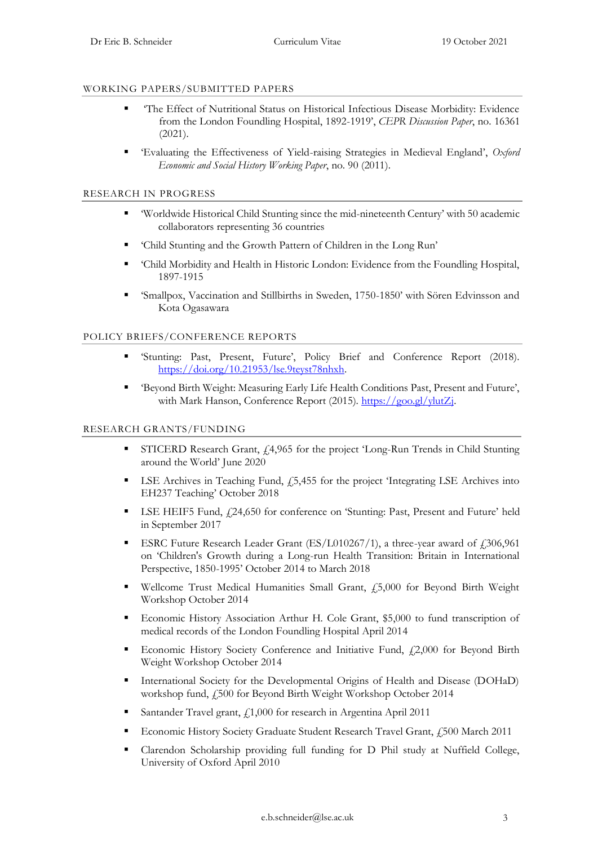#### WORKING PAPERS/SUBMITTED PAPERS

- 'The Effect of Nutritional Status on Historical Infectious Disease Morbidity: Evidence from the London Foundling Hospital, 1892-1919', *CEPR Discussion Paper*, no. 16361 (2021).
- 'Evaluating the Effectiveness of Yield-raising Strategies in Medieval England', *Oxford Economic and Social History Working Paper*, no. 90 (2011).

#### RESEARCH IN PROGRESS

- 'Worldwide Historical Child Stunting since the mid-nineteenth Century' with 50 academic collaborators representing 36 countries
- 'Child Stunting and the Growth Pattern of Children in the Long Run'
- 'Child Morbidity and Health in Historic London: Evidence from the Foundling Hospital, 1897-1915
- 'Smallpox, Vaccination and Stillbirths in Sweden, 1750-1850' with Sören Edvinsson and Kota Ogasawara

#### POLICY BRIEFS/CONFERENCE REPORTS

- 'Stunting: Past, Present, Future', Policy Brief and Conference Report (2018). [https://doi.org/10.21953/lse.9teyst78nhxh.](https://doi.org/10.21953/lse.9teyst78nhxh)
- 'Beyond Birth Weight: Measuring Early Life Health Conditions Past, Present and Future', with Mark Hanson, Conference Report (2015). https://goo.gl/ylutZi.

#### RESEARCH GRANTS/FUNDING

- STICERD Research Grant,  $\frac{1}{4}$ ,965 for the project 'Long-Run Trends in Child Stunting around the World' June 2020
- $\blacksquare$  LSE Archives in Teaching Fund,  $f$ 5,455 for the project 'Integrating LSE Archives into EH237 Teaching' October 2018
- **EXECUTE:** LSE HEIF5 Fund,  $f24,650$  for conference on 'Stunting: Past, Present and Future' held in September 2017
- **ESRC** Future Research Leader Grant (ES/L010267/1), a three-year award of  $\ell$ ,306,961 on 'Children's Growth during a Long-run Health Transition: Britain in International Perspective, 1850-1995' October 2014 to March 2018
- Wellcome Trust Medical Humanities Small Grant, £5,000 for Beyond Birth Weight Workshop October 2014
- Economic History Association Arthur H. Cole Grant, \$5,000 to fund transcription of medical records of the London Foundling Hospital April 2014
- **Economic History Society Conference and Initiative Fund, £2,000 for Beyond Birth** Weight Workshop October 2014
- **Exercise 1** International Society for the Developmental Origins of Health and Disease (DOHaD) workshop fund, £500 for Beyond Birth Weight Workshop October 2014
- Santander Travel grant,  $f_{1,000}$  for research in Argentina April 2011
- Economic History Society Graduate Student Research Travel Grant, £500 March 2011
- Clarendon Scholarship providing full funding for D Phil study at Nuffield College, University of Oxford April 2010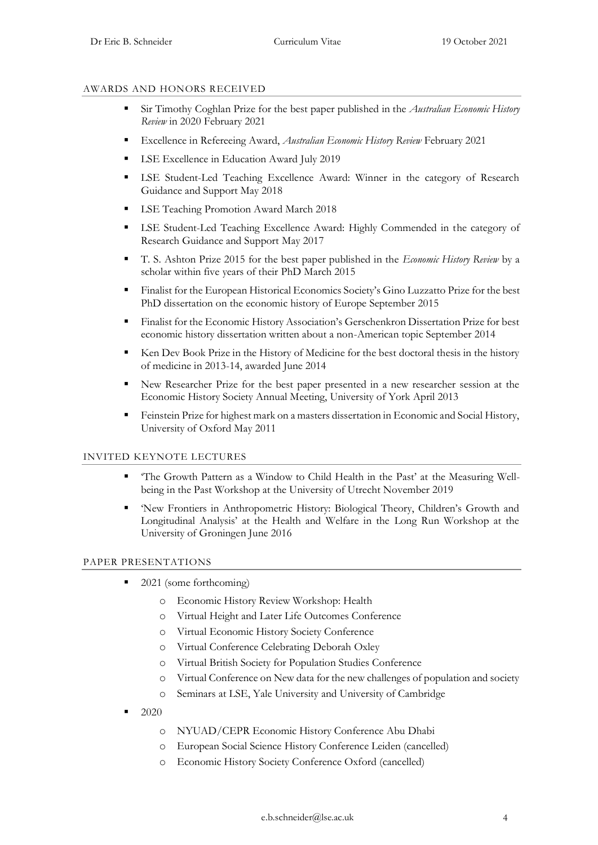#### AWARDS AND HONORS RECEIVED

- Sir Timothy Coghlan Prize for the best paper published in the *Australian Economic History Review* in 2020 February 2021
- Excellence in Refereeing Award, *Australian Economic History Review* February 2021
- **EXCEL Excellence in Education Award July 2019**
- **EXE** Student-Led Teaching Excellence Award: Winner in the category of Research Guidance and Support May 2018
- **EXECUTE:** LSE Teaching Promotion Award March 2018
- LSE Student-Led Teaching Excellence Award: Highly Commended in the category of Research Guidance and Support May 2017
- T. S. Ashton Prize 2015 for the best paper published in the *Economic History Review* by a scholar within five years of their PhD March 2015
- Finalist for the European Historical Economics Society's Gino Luzzatto Prize for the best PhD dissertation on the economic history of Europe September 2015
- **EXECUTE:** Finalist for the Economic History Association's Gerschenkron Dissertation Prize for best economic history dissertation written about a non-American topic September 2014
- Ken Dev Book Prize in the History of Medicine for the best doctoral thesis in the history of medicine in 2013-14, awarded June 2014
- New Researcher Prize for the best paper presented in a new researcher session at the Economic History Society Annual Meeting, University of York April 2013
- **Exercise Feinstein Prize for highest mark on a masters dissertation in Economic and Social History,** University of Oxford May 2011

#### INVITED KEYNOTE LECTURES

- 'The Growth Pattern as a Window to Child Health in the Past' at the Measuring Wellbeing in the Past Workshop at the University of Utrecht November 2019
- 'New Frontiers in Anthropometric History: Biological Theory, Children's Growth and Longitudinal Analysis' at the Health and Welfare in the Long Run Workshop at the University of Groningen June 2016

#### PAPER PRESENTATIONS

- 2021 (some forthcoming)
	- o Economic History Review Workshop: Health
	- o Virtual Height and Later Life Outcomes Conference
	- o Virtual Economic History Society Conference
	- o Virtual Conference Celebrating Deborah Oxley
	- o Virtual British Society for Population Studies Conference
	- o Virtual Conference on New data for the new challenges of population and society
	- o Seminars at LSE, Yale University and University of Cambridge
- 2020
	- o NYUAD/CEPR Economic History Conference Abu Dhabi
	- o European Social Science History Conference Leiden (cancelled)
	- o Economic History Society Conference Oxford (cancelled)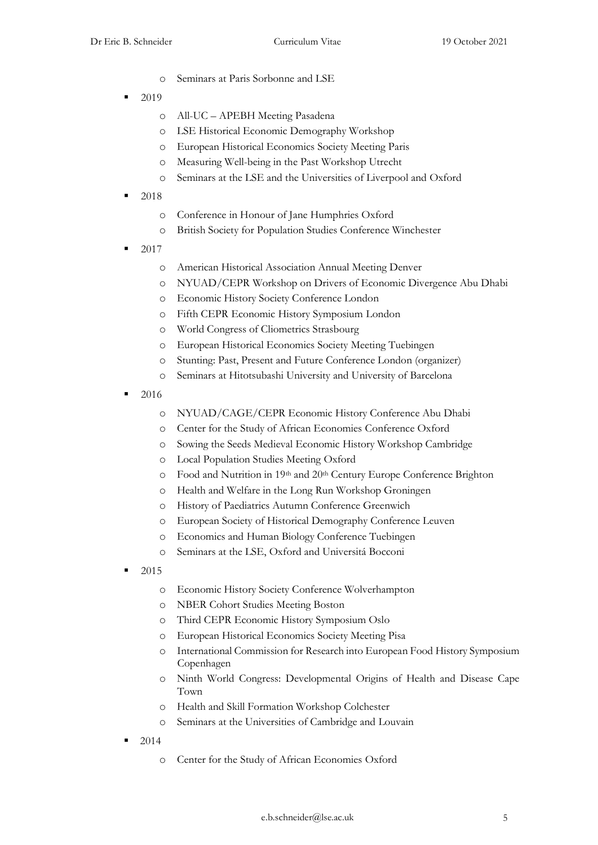- o Seminars at Paris Sorbonne and LSE
- 2019
	- o All-UC APEBH Meeting Pasadena
	- o LSE Historical Economic Demography Workshop
	- o European Historical Economics Society Meeting Paris
	- o Measuring Well-being in the Past Workshop Utrecht
	- o Seminars at the LSE and the Universities of Liverpool and Oxford
- 2018
	- o Conference in Honour of Jane Humphries Oxford
	- o British Society for Population Studies Conference Winchester
- 2017
	- o American Historical Association Annual Meeting Denver
	- o NYUAD/CEPR Workshop on Drivers of Economic Divergence Abu Dhabi
	- o Economic History Society Conference London
	- o Fifth CEPR Economic History Symposium London
	- o World Congress of Cliometrics Strasbourg
	- o European Historical Economics Society Meeting Tuebingen
	- o Stunting: Past, Present and Future Conference London (organizer)
	- o Seminars at Hitotsubashi University and University of Barcelona
- 2016
	- o NYUAD/CAGE/CEPR Economic History Conference Abu Dhabi
	- o Center for the Study of African Economies Conference Oxford
	- o Sowing the Seeds Medieval Economic History Workshop Cambridge
	- o Local Population Studies Meeting Oxford
	- o Food and Nutrition in 19th and 20th Century Europe Conference Brighton
	- o Health and Welfare in the Long Run Workshop Groningen
	- o History of Paediatrics Autumn Conference Greenwich
	- o European Society of Historical Demography Conference Leuven
	- o Economics and Human Biology Conference Tuebingen
	- o Seminars at the LSE, Oxford and Universitá Bocconi
- 2015
	- o Economic History Society Conference Wolverhampton
	- o NBER Cohort Studies Meeting Boston
	- o Third CEPR Economic History Symposium Oslo
	- o European Historical Economics Society Meeting Pisa
	- o International Commission for Research into European Food History Symposium Copenhagen
	- o Ninth World Congress: Developmental Origins of Health and Disease Cape Town
	- o Health and Skill Formation Workshop Colchester
	- o Seminars at the Universities of Cambridge and Louvain
- 2014
	- o Center for the Study of African Economies Oxford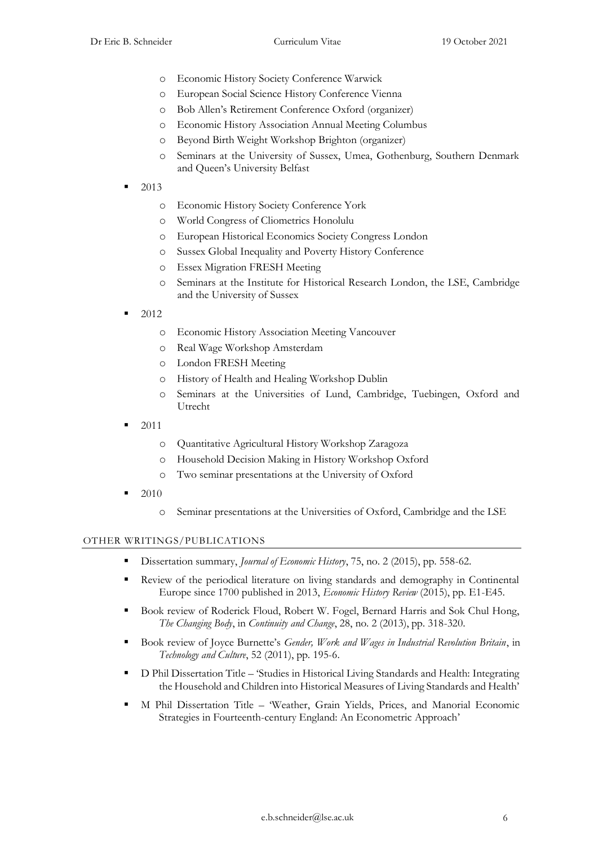- o Economic History Society Conference Warwick
- o European Social Science History Conference Vienna
- o Bob Allen's Retirement Conference Oxford (organizer)
- o Economic History Association Annual Meeting Columbus
- o Beyond Birth Weight Workshop Brighton (organizer)
- o Seminars at the University of Sussex, Umea, Gothenburg, Southern Denmark and Queen's University Belfast
- 2013
	- o Economic History Society Conference York
	- o World Congress of Cliometrics Honolulu
	- o European Historical Economics Society Congress London
	- o Sussex Global Inequality and Poverty History Conference
	- o Essex Migration FRESH Meeting
	- o Seminars at the Institute for Historical Research London, the LSE, Cambridge and the University of Sussex
- 2012
	- o Economic History Association Meeting Vancouver
	- o Real Wage Workshop Amsterdam
	- o London FRESH Meeting
	- o History of Health and Healing Workshop Dublin
	- o Seminars at the Universities of Lund, Cambridge, Tuebingen, Oxford and Utrecht
- 2011
	- o Quantitative Agricultural History Workshop Zaragoza
	- o Household Decision Making in History Workshop Oxford
	- o Two seminar presentations at the University of Oxford
- 2010
	- o Seminar presentations at the Universities of Oxford, Cambridge and the LSE

#### OTHER WRITINGS/PUBLICATIONS

- Dissertation summary, *Journal of Economic History*, 75, no. 2 (2015), pp. 558-62.
- **•** Review of the periodical literature on living standards and demography in Continental Europe since 1700 published in 2013, *Economic History Review* (2015), pp. E1-E45.
- Book review of Roderick Floud, Robert W. Fogel, Bernard Harris and Sok Chul Hong, *The Changing Body*, in *Continuity and Change*, 28, no. 2 (2013), pp. 318-320.
- Book review of Joyce Burnette's *Gender, Work and Wages in Industrial Revolution Britain*, in *Technology and Culture*, 52 (2011), pp. 195-6.
- D Phil Dissertation Title 'Studies in Historical Living Standards and Health: Integrating the Household and Children into Historical Measures of Living Standards and Health'
- M Phil Dissertation Title 'Weather, Grain Yields, Prices, and Manorial Economic Strategies in Fourteenth-century England: An Econometric Approach'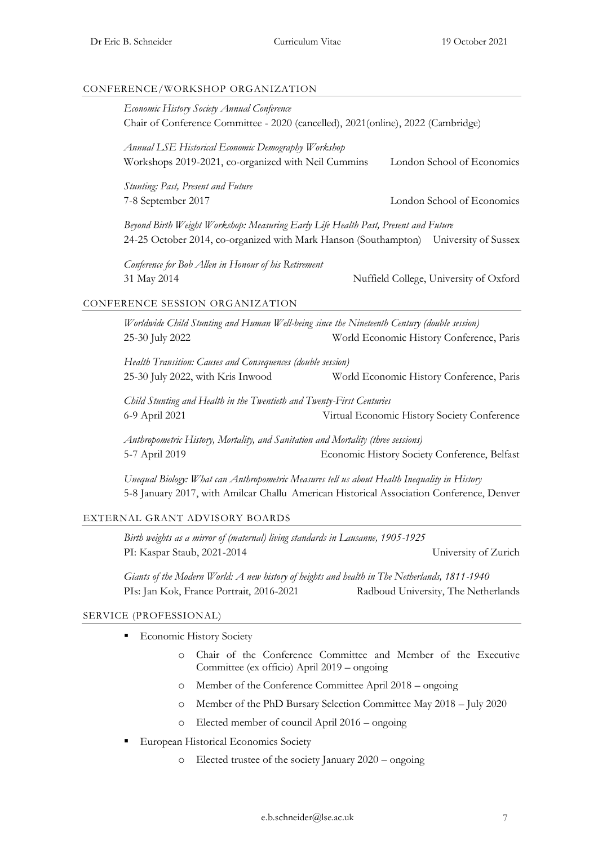#### CONFERENCE/WORKSHOP ORGANIZATION

| Economic History Society Annual Conference                                                                | Chair of Conference Committee - 2020 (cancelled), 2021(online), 2022 (Cambridge)                                                                                                         |
|-----------------------------------------------------------------------------------------------------------|------------------------------------------------------------------------------------------------------------------------------------------------------------------------------------------|
| Annual LSE Historical Economic Demography Workshop<br>Workshops 2019-2021, co-organized with Neil Cummins | London School of Economics                                                                                                                                                               |
| <b>Stunting: Past, Present and Future</b><br>7-8 September 2017                                           | London School of Economics                                                                                                                                                               |
|                                                                                                           | Beyond Birth Weight Workshop: Measuring Early Life Health Past, Present and Future<br>24-25 October 2014, co-organized with Mark Hanson (Southampton) University of Sussex               |
| Conference for Bob Allen in Honour of his Retirement<br>31 May 2014                                       | Nuffield College, University of Oxford                                                                                                                                                   |
| CONFERENCE SESSION ORGANIZATION                                                                           |                                                                                                                                                                                          |
| 25-30 July 2022                                                                                           | Worldwide Child Stunting and Human Well-being since the Nineteenth Century (double session)<br>World Economic History Conference, Paris                                                  |
| Health Transition: Causes and Consequences (double session)<br>25-30 July 2022, with Kris Inwood          | World Economic History Conference, Paris                                                                                                                                                 |
| 6-9 April 2021                                                                                            | Child Stunting and Health in the Twentieth and Twenty-First Centuries<br>Virtual Economic History Society Conference                                                                     |
| 5-7 April 2019                                                                                            | Anthropometric History, Mortality, and Sanitation and Mortality (three sessions)<br>Economic History Society Conference, Belfast                                                         |
|                                                                                                           | Unequal Biology: What can Anthropometric Measures tell us about Health Inequality in History<br>5-8 January 2017, with Amilcar Challu American Historical Association Conference, Denver |
| EXTERNAL GRANT ADVISORY BOARDS                                                                            |                                                                                                                                                                                          |
|                                                                                                           | Birth weights as a mirror of (maternal) living standards in Lausanne, 1905-1925                                                                                                          |
| PI: Kaspar Staub, 2021-2014                                                                               | University of Zurich                                                                                                                                                                     |
| PIs: Jan Kok, France Portrait, 2016-2021                                                                  | Giants of the Modern World: A new history of heights and health in The Netherlands, 1811-1940<br>Radboud University, The Netherlands                                                     |
| SERVICE (PROFESSIONAL)                                                                                    |                                                                                                                                                                                          |

- **Economic History Society** 
	- o Chair of the Conference Committee and Member of the Executive Committee (ex officio) April 2019 – ongoing
	- o Member of the Conference Committee April 2018 ongoing
	- o Member of the PhD Bursary Selection Committee May 2018 July 2020
	- o Elected member of council April 2016 ongoing
- **European Historical Economics Society** 
	- o Elected trustee of the society January 2020 ongoing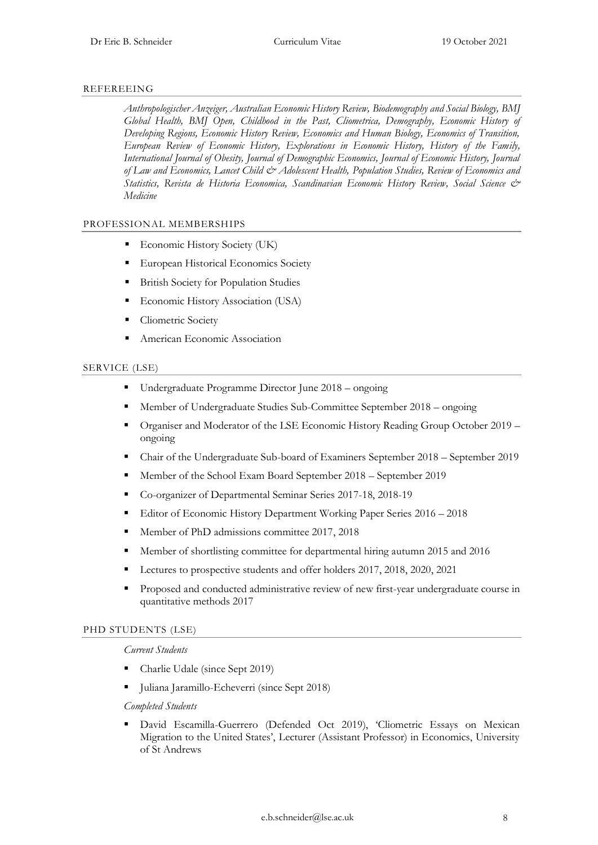#### REFEREEING

*Anthropologischer Anzeiger, Australian Economic History Review, Biodemography and Social Biology, BMJ Global Health, BMJ Open, Childhood in the Past, Cliometrica, Demography, Economic History of Developing Regions, Economic History Review, Economics and Human Biology, Economics of Transition, European Review of Economic History, Explorations in Economic History, History of the Family, International Journal of Obesity, Journal of Demographic Economics, Journal of Economic History, Journal of Law and Economics, Lancet Child & Adolescent Health, Population Studies, Review of Economics and Statistics, Revista de Historia Economica, Scandinavian Economic History Review, Social Science & Medicine*

#### PROFESSIONAL MEMBERSHIPS

- **Economic History Society (UK)**
- European Historical Economics Society
- British Society for Population Studies
- **Economic History Association (USA)**
- Cliometric Society
- American Economic Association

#### SERVICE (LSE)

- Undergraduate Programme Director June 2018 ongoing
- Member of Undergraduate Studies Sub-Committee September 2018 ongoing
- Organiser and Moderator of the LSE Economic History Reading Group October 2019 ongoing
- Chair of the Undergraduate Sub-board of Examiners September 2018 September 2019
- Member of the School Exam Board September 2018 September 2019
- Co-organizer of Departmental Seminar Series 2017-18, 2018-19
- Editor of Economic History Department Working Paper Series 2016 2018
- Member of PhD admissions committee 2017, 2018
- Member of shortlisting committee for departmental hiring autumn 2015 and 2016
- Lectures to prospective students and offer holders 2017, 2018, 2020, 2021
- Proposed and conducted administrative review of new first-year undergraduate course in quantitative methods 2017

#### PHD STUDENTS (LSE)

*Current Students*

- Charlie Udale (since Sept 2019)
- Juliana Jaramillo-Echeverri (since Sept 2018)

*Completed Students* 

David Escamilla-Guerrero (Defended Oct 2019), 'Cliometric Essays on Mexican Migration to the United States', Lecturer (Assistant Professor) in Economics, University of St Andrews